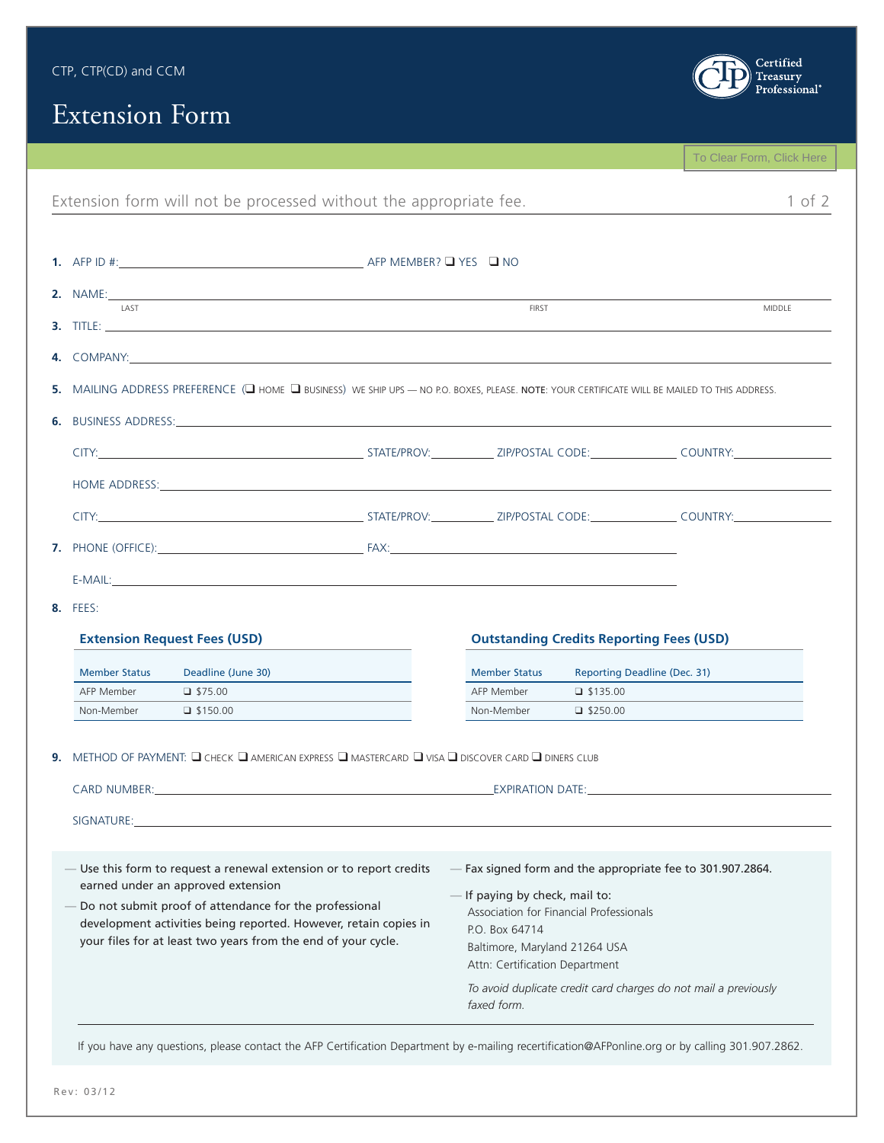| CTP, CTP(CD) and CCM |  |
|----------------------|--|
|----------------------|--|



## Extension Form

|                                                                                                                                               |  |                      |                                                 | To Clear Form, Click Here |  |  |
|-----------------------------------------------------------------------------------------------------------------------------------------------|--|----------------------|-------------------------------------------------|---------------------------|--|--|
| Extension form will not be processed without the appropriate fee.                                                                             |  |                      |                                                 | $1$ of $2$                |  |  |
|                                                                                                                                               |  |                      |                                                 |                           |  |  |
|                                                                                                                                               |  |                      |                                                 |                           |  |  |
|                                                                                                                                               |  |                      |                                                 |                           |  |  |
| <b>LAST</b>                                                                                                                                   |  | FIRST                |                                                 | MIDDLE                    |  |  |
|                                                                                                                                               |  |                      |                                                 |                           |  |  |
| 5. MAILING ADDRESS PREFERENCE (C HOME C BUSINESS) WE SHIP UPS - NO P.O. BOXES, PLEASE. NOTE: YOUR CERTIFICATE WILL BE MAILED TO THIS ADDRESS. |  |                      |                                                 |                           |  |  |
|                                                                                                                                               |  |                      |                                                 |                           |  |  |
|                                                                                                                                               |  |                      |                                                 |                           |  |  |
|                                                                                                                                               |  |                      |                                                 |                           |  |  |
|                                                                                                                                               |  |                      |                                                 |                           |  |  |
|                                                                                                                                               |  |                      |                                                 |                           |  |  |
|                                                                                                                                               |  |                      |                                                 |                           |  |  |
|                                                                                                                                               |  |                      |                                                 |                           |  |  |
|                                                                                                                                               |  |                      |                                                 |                           |  |  |
| <b>8.</b> FEES:                                                                                                                               |  |                      |                                                 |                           |  |  |
|                                                                                                                                               |  |                      |                                                 |                           |  |  |
| <b>Extension Request Fees (USD)</b>                                                                                                           |  |                      | <b>Outstanding Credits Reporting Fees (USD)</b> |                           |  |  |
| <b>Member Status</b><br>Deadline (June 30)                                                                                                    |  | <b>Member Status</b> | <b>Reporting Deadline (Dec. 31)</b>             |                           |  |  |
| AFP Member<br>$\Box$ \$75.00                                                                                                                  |  | AFP Member           | $\Box$ \$135.00                                 |                           |  |  |
| Non-Member<br>$\Box$ \$150.00                                                                                                                 |  | Non-Member           | $\Box$ \$250.00                                 |                           |  |  |
|                                                                                                                                               |  |                      |                                                 |                           |  |  |
| 9. METHOD OF PAYMENT: Q CHECK Q AMERICAN EXPRESS Q MASTERCARD Q VISA Q DISCOVER CARD Q DINERS CLUB                                            |  |                      |                                                 |                           |  |  |
|                                                                                                                                               |  |                      |                                                 |                           |  |  |